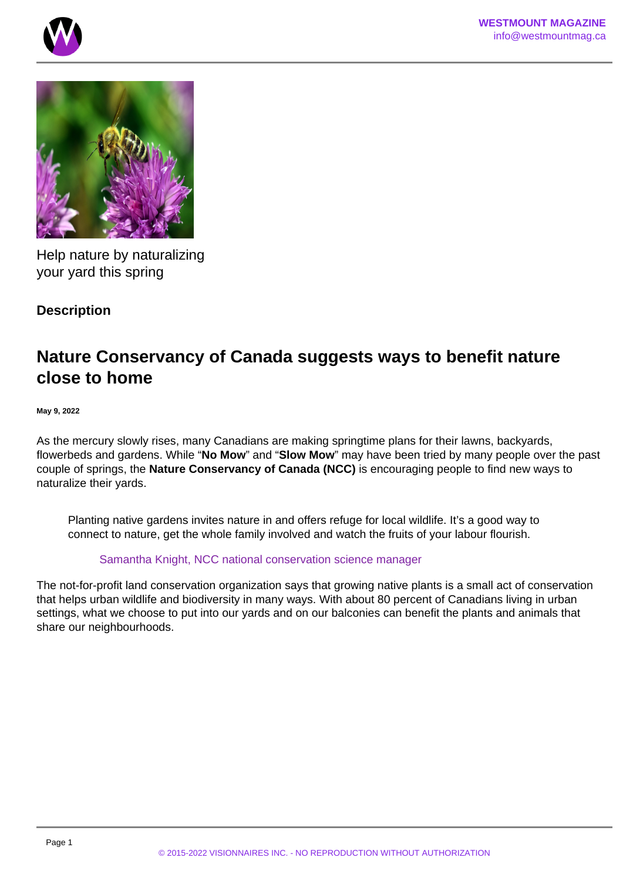



Help nature by naturalizing your yard this spring

**Description**

## **Nature Conservancy of Canada suggests ways to benefit nature close to home**

**May 9, 2022**

As the mercury slowly rises, many Canadians are making springtime plans for their lawns, backyards, flowerbeds and gardens. While "**No Mow**" and "**Slow Mow**" may have been tried by many people over the past couple of springs, the **Nature Conservancy of Canada (NCC)** is encouraging people to find new ways to naturalize their yards.

Planting native gardens invites nature in and offers refuge for local wildlife. It's a good way to connect to nature, get the whole family involved and watch the fruits of your labour flourish.

## Samantha Knight, NCC national conservation science manager

The not-for-profit land conservation organization says that growing native plants is a small act of conservation that helps urban wildlife and biodiversity in many ways. With about 80 percent of Canadians living in urban settings, what we choose to put into our yards and on our balconies can benefit the plants and animals that share our neighbourhoods.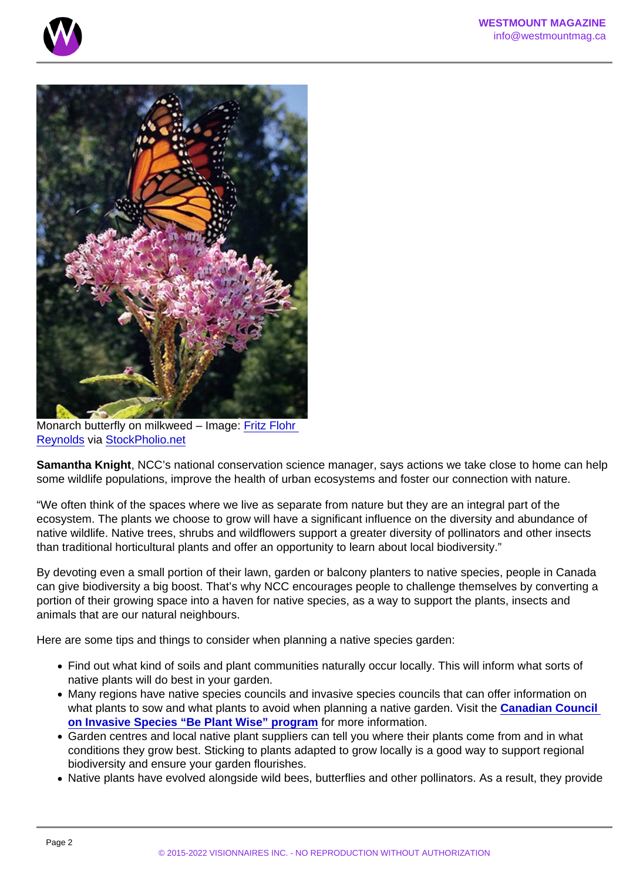Monarch butterfly on milkweed – Image: [Fritz Flohr](http://www.flickr.com/photos/81112662@N03/9585875065/)  [Reynolds](http://www.flickr.com/photos/81112662@N03/9585875065/) via [StockPholio.net](http://www.stockpholio.net/)

Samantha Knight , NCC's national conservation science manager, says actions we take close to home can help some wildlife populations, improve the health of urban ecosystems and foster our connection with nature.

"We often think of the spaces where we live as separate from nature but they are an integral part of the ecosystem. The plants we choose to grow will have a significant influence on the diversity and abundance of native wildlife. Native trees, shrubs and wildflowers support a greater diversity of pollinators and other insects than traditional horticultural plants and offer an opportunity to learn about local biodiversity."

By devoting even a small portion of their lawn, garden or balcony planters to native species, people in Canada can give biodiversity a big boost. That's why NCC encourages people to challenge themselves by converting a portion of their growing space into a haven for native species, as a way to support the plants, insects and animals that are our natural neighbours.

Here are some tips and things to consider when planning a native species garden:

- Find out what kind of soils and plant communities naturally occur locally. This will inform what sorts of native plants will do best in your garden.
- Many regions have native species councils and invasive species councils that can offer information on what plants to sow and what plants to avoid when planning a native garden. Visit the Canadian Council [on Invasive Species "Be Plant Wise" program](https://canadainvasives.ca/programs/be-plant-wise/#:~:text=Plant Wise is a program,make ) for more information.
- Garden centres and local native plant suppliers can tell you where their plants come from and in what conditions they grow best. Sticking to plants adapted to grow locally is a good way to support regional biodiversity and ensure your garden flourishes.
- Native plants have evolved alongside wild bees, butterflies and other pollinators. As a result, they provide